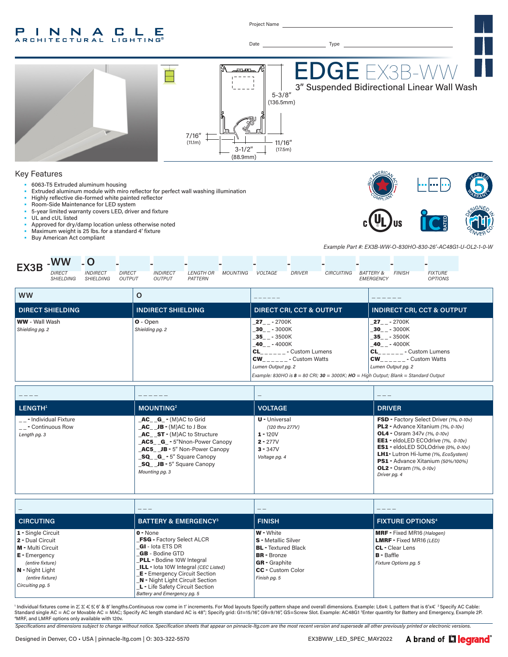#### INNA  $\mathbb{L}$ - C -Е **RCHITECTURAL LIGHTING**

Project Name



BR - Bronze GR - Graphite CC - Custom Color *Finish pg. 5*

*Specifications and dimensions subject to change without notice. Specification sheets that appear on pinnacle-ltg.com are the most recent version and supersede all other previously printed or electronic versions.*

Individual fixtures come in 2', 3', 4', 5', 6' & 8' lengths.Continuous row come in 1' increments. For Mod layouts Specify pattern shape and overall dimensions. Example: L6x4: L pattern that is 6'x4'. <sup>2</sup> Specify AC Cable: Standard single AC = AC or Movable AC = MAC; Specify AC length standard AC is 48"; Specify grid: G1=15/16", G9=9/16", GS=Screw Slot. Example: AC48G1 <sup>3</sup>Enter quantity for Battery and Emergency, Example 2P.<br>"MPE and LMPE on

MRF, and LMRF options only available with 120v.

GB - Bodine GTD PLL - Bodine 10W Integral \_ILL - Iota 10W Integral *(CEC Listed)* **E** - Emergency Circuit Section N - Night Light Circuit Section L - Life Safety Circuit Section *Battery and Emergency pg. 5*

E - Emergency *(entire fixture)* N - Night Light *(entire fixture) Circuiting pg. 5*

B - Baffle *Fixture Options pg. 5*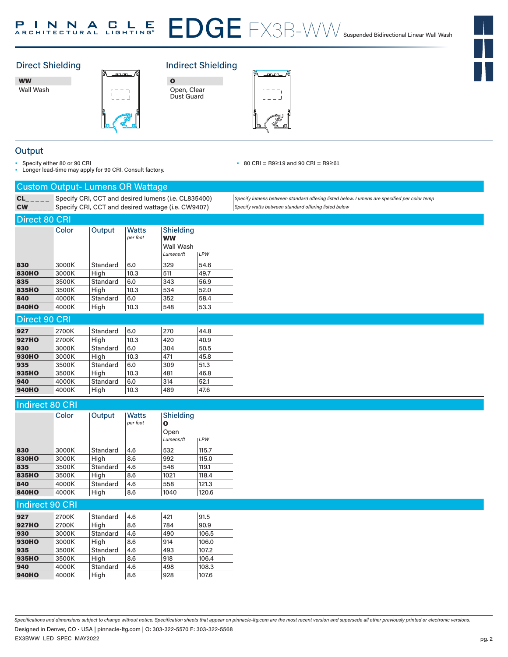#### EDGE EX3B-WW Suspended Bidirectional Linear Wall Wash P I N N A C L E P

#### **Direct Shielding** Direct Shielding **Indirect Shielding**

EX3B-WW

WW Wall Wash



| Ω                         |  |
|---------------------------|--|
| Open, Clear<br>Dust Guard |  |



#### **Output**

• Specify either 80 or 90 CRI

• Longer lead-time may apply for 90 CRI. Consult factory.

• 80 CRI = R9≥19 and 90 CRI = R9≥61

|                        | <b>Custom Output- Lumens OR Wattage</b>            |          |              |                                                     |       |                                                                                            |
|------------------------|----------------------------------------------------|----------|--------------|-----------------------------------------------------|-------|--------------------------------------------------------------------------------------------|
| CL                     |                                                    |          |              | Specify CRI, CCT and desired lumens (i.e. CL835400) |       | Specify lumens between standard offering listed below. Lumens are specified per color temp |
| <b>CW</b>              | Specify CRI, CCT and desired wattage (i.e. CW9407) |          |              |                                                     |       | Specify watts between standard offering listed below                                       |
| <b>Direct 80 CRI</b>   |                                                    |          |              |                                                     |       |                                                                                            |
|                        | Color                                              | Output   | <b>Watts</b> | Shielding                                           |       |                                                                                            |
|                        |                                                    |          | per foot     | <b>WW</b>                                           |       |                                                                                            |
|                        |                                                    |          |              | Wall Wash                                           |       |                                                                                            |
|                        |                                                    |          |              | Lumens/ft                                           | LPW   |                                                                                            |
| 830                    | 3000K                                              | Standard | 6.0          | 329                                                 | 54.6  |                                                                                            |
| <b>830HO</b>           | 3000K                                              | High     | 10.3         | 511                                                 | 49.7  |                                                                                            |
| 835                    | 3500K                                              | Standard | 6.0          | 343                                                 | 56.9  |                                                                                            |
| 835HO                  | 3500K                                              | High     | 10.3         | 534                                                 | 52.0  |                                                                                            |
| 840                    | 4000K                                              | Standard | 6.0          | 352                                                 | 58.4  |                                                                                            |
| <b>840HO</b>           | 4000K                                              | High     | 10.3         | 548                                                 | 53.3  |                                                                                            |
| <b>Direct 90 CRI</b>   |                                                    |          |              |                                                     |       |                                                                                            |
| 927                    |                                                    | Standard | 6.0          | 270                                                 | 44.8  |                                                                                            |
| <b>927HO</b>           | 2700K<br>2700K                                     | High     | 10.3         | 420                                                 | 40.9  |                                                                                            |
| 930                    | 3000K                                              | Standard | 6.0          | 304                                                 | 50.5  |                                                                                            |
| 930HO                  | 3000K                                              | High     | 10.3         | 471                                                 | 45.8  |                                                                                            |
| 935                    | 3500K                                              | Standard | 6.0          | 309                                                 | 51.3  |                                                                                            |
| 935HO                  | 3500K                                              | High     | 10.3         | 481                                                 | 46.8  |                                                                                            |
| 940                    | 4000K                                              | Standard | 6.0          | 314                                                 | 52.1  |                                                                                            |
| <b>940HO</b>           | 4000K                                              | High     | 10.3         | 489                                                 | 47.6  |                                                                                            |
|                        |                                                    |          |              |                                                     |       |                                                                                            |
| <b>Indirect 80 CRI</b> |                                                    |          |              |                                                     |       |                                                                                            |
|                        | Color                                              | Output   | <b>Watts</b> | Shielding                                           |       |                                                                                            |
|                        |                                                    |          | per foot     | O                                                   |       |                                                                                            |
|                        |                                                    |          |              | Open                                                |       |                                                                                            |
|                        |                                                    |          |              | Lumens/ft                                           | LPW   |                                                                                            |
| 830                    | 3000K                                              | Standard | 4.6          | 532                                                 | 115.7 |                                                                                            |
| <b>830HO</b>           | 3000K                                              | High     | 8.6          | 992                                                 | 115.0 |                                                                                            |
| 835                    | 3500K                                              | Standard | 4.6          | 548                                                 | 119.1 |                                                                                            |
| 835HO                  | 3500K                                              | High     | 8.6          | 1021                                                | 118.4 |                                                                                            |
| 840                    | 4000K                                              | Standard | 4.6          | 558                                                 | 121.3 |                                                                                            |
| <b>840HO</b>           | 4000K                                              | High     | 8.6          | 1040                                                | 120.6 |                                                                                            |
| Indirect 90 CRI        |                                                    |          |              |                                                     |       |                                                                                            |
| 927                    | 2700K                                              | Standard | 4.6          | 421                                                 | 91.5  |                                                                                            |
| <b>927HO</b>           | 2700K                                              | High     | 8.6          | 784                                                 | 90.9  |                                                                                            |
| 930                    | 3000K                                              | Standard | 4.6          | 490                                                 | 106.5 |                                                                                            |
| 930HO                  | 3000K                                              | High     | 8.6          | 914                                                 | 106.0 |                                                                                            |
| 935                    | 3500K                                              | Standard | 4.6          | 493                                                 | 107.2 |                                                                                            |
| 935HO                  | 3500K                                              | High     | 8.6          | 918                                                 | 106.4 |                                                                                            |
| 940                    | 4000K                                              | Standard | 4.6          | 498                                                 | 108.3 |                                                                                            |
| <b>940HO</b>           | 4000K                                              | High     | 8.6          | 928                                                 | 107.6 |                                                                                            |
|                        |                                                    |          |              |                                                     |       |                                                                                            |

*Specifications and dimensions subject to change without notice. Specification sheets that appear on pinnacle-ltg.com are the most recent version and supersede all other previously printed or electronic versions.*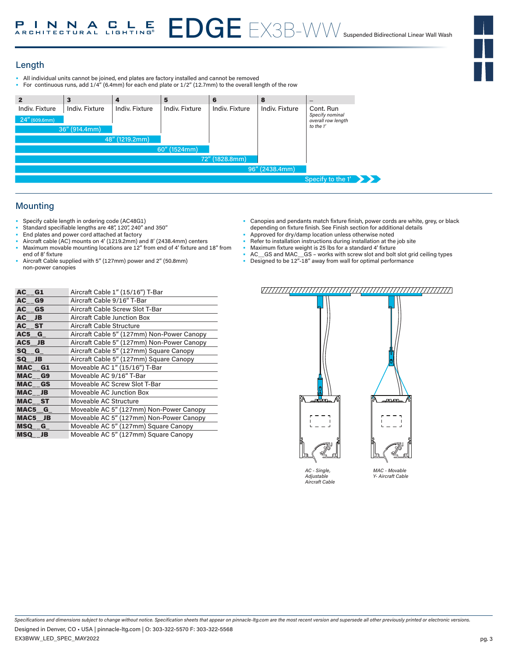# Length

- All individual units cannot be joined, end plates are factory installed and cannot be removed<br>• For continuous runs, add 1/4" (6.4mm) for each end plate or 1/2" (12.7mm) to the overall ler
- For continuous runs, add 1/4" (6.4mm) for each end plate or 1/2" (12.7mm) to the overall length of the row

| $\overline{2}$   | 3                     | 4              | 5              | 6              | 8              |                                       |
|------------------|-----------------------|----------------|----------------|----------------|----------------|---------------------------------------|
| Indiv. Fixture   | <b>Indiv. Fixture</b> | Indiv. Fixture | Indiv. Fixture | Indiv. Fixture | Indiv. Fixture | Cont. Run                             |
| $24''$ (609.6mm) |                       |                |                |                |                | Specify nominal<br>overall row length |
|                  | 36" (914.4mm)         |                |                |                |                | to the 1'                             |
|                  |                       | 48" (1219.2mm) |                |                |                |                                       |
|                  |                       |                | 60" (1524mm)   |                |                |                                       |
|                  |                       |                |                | 72" (1828.8mm) |                |                                       |
|                  |                       |                |                |                | 96" (2438.4mm) |                                       |
|                  |                       |                |                |                |                | Specify to the 1'                     |

# **Mounting**

- Specify cable length in ordering code (AC48G1)
- Standard specifiable lengths are 48", 120", 240" and 350"
- End plates and power cord attached at factory
- Aircraft cable (AC) mounts on 4' (1219.2mm) and 8' (2438.4mm) centers Maximum movable mounting locations are 12" from end of 4' fixture and 18" from
- end of 8' fixture • Aircraft Cable supplied with 5" (127mm) power and 2" (50.8mm) non-power canopies
- Canopies and pendants match fixture finish, power cords are white, grey, or black depending on fixture finish. See Finish section for additional details
- Approved for dry/damp location unless otherwise noted
- Refer to installation instructions during installation at the job site
- Maximum fixture weight is 25 lbs for a standard 4' fixture
- AC\_\_GS and MAC\_\_GS works with screw slot and bolt slot grid ceiling types
- Designed to be 12"-18" away from wall for optimal performance

| AC G1     | Aircraft Cable 1" (15/16") T-Bar           |
|-----------|--------------------------------------------|
| AC G9     | Aircraft Cable 9/16" T-Bar                 |
| AC GS     | Aircraft Cable Screw Slot T-Bar            |
| AC JB     | Aircraft Cable Junction Box                |
| AC ST     | Aircraft Cable Structure                   |
| $AC5$ $G$ | Aircraft Cable 5" (127mm) Non-Power Canopy |
| AC5 JB    | Aircraft Cable 5" (127mm) Non-Power Canopy |
| SQ G      | Aircraft Cable 5" (127mm) Square Canopy    |
| SQ JB     | Aircraft Cable 5" (127mm) Square Canopy    |
| MAC G1    | Moveable AC 1" (15/16") T-Bar              |
| MAC G9    | Moveable AC 9/16" T-Bar                    |
| MAC GS    | Moveable AC Screw Slot T-Bar               |
| MAC JB    | Moveable AC Junction Box                   |
| MAC ST    | Moveable AC Structure                      |
| MAC5 G    | Moveable AC 5" (127mm) Non-Power Canopy    |
| MAC5 JB   | Moveable AC 5" (127mm) Non-Power Canopy    |
| $MSQ_G$   | Moveable AC 5" (127mm) Square Canopy       |
| MSQ JB    | Moveable AC 5" (127mm) Square Canopy       |

### 



*AC - Single, Adjustable Aircraft Cable*

on.on

*MAC - Movable Y- Aircraft Cable*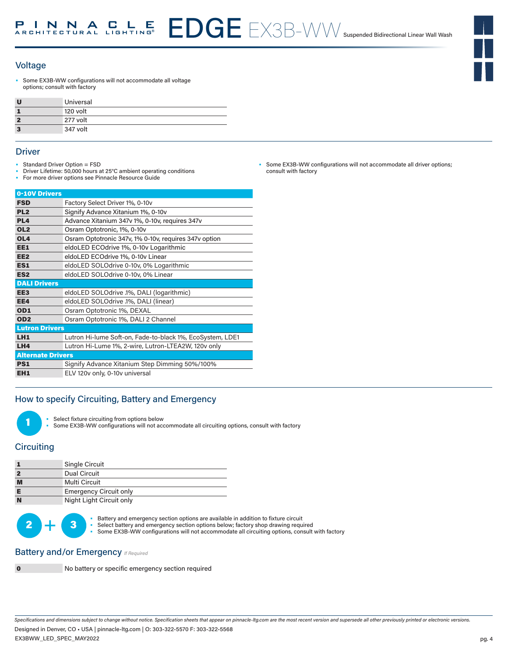

#### Voltage

Some EX3B-WW configurations will not accommodate all voltage options; consult with factory

| U | Universal |
|---|-----------|
|   | 120 volt  |
| 2 | 277 volt  |
| 3 | 347 volt  |

#### **Driver**

- Standard Driver Option = FSD
- Driver Lifetime: 50,000 hours at 25°C ambient operating conditions
- For more driver options see Pinnacle Resource Guide

| 0-10V Drivers            |                                                           |
|--------------------------|-----------------------------------------------------------|
| <b>FSD</b>               | Factory Select Driver 1%, 0-10v                           |
| PL <sub>2</sub>          | Signify Advance Xitanium 1%, 0-10v                        |
| PL <sub>4</sub>          | Advance Xitanium 347v 1%, 0-10v, requires 347v            |
| OL <sub>2</sub>          | Osram Optotronic, 1%, 0-10y                               |
| OL <sub>4</sub>          | Osram Optotronic 347v, 1% 0-10v, requires 347v option     |
| EE1                      | eldoLED ECOdrive 1%, 0-10y Logarithmic                    |
| EE <sub>2</sub>          | eldoLED ECOdrive 1%, 0-10v Linear                         |
| ES <sub>1</sub>          | eldoLED SOLOdrive 0-10v, 0% Logarithmic                   |
| ES <sub>2</sub>          | eldoLED SOLOdrive 0-10v, 0% Linear                        |
| <b>DALI Drivers</b>      |                                                           |
| EE <sub>3</sub>          | eldoLED SOLOdrive .1%, DALI (logarithmic)                 |
| EE4                      | eldoLED SOLOdrive .1%, DALI (linear)                      |
| OD1                      | Osram Optotronic 1%, DEXAL                                |
| OD <sub>2</sub>          | Osram Optotronic 1%, DALI 2 Channel                       |
| <b>Lutron Drivers</b>    |                                                           |
| LH <sub>1</sub>          | Lutron Hi-lume Soft-on, Fade-to-black 1%, EcoSystem, LDE1 |
| LH4                      | Lutron Hi-Lume 1%, 2-wire, Lutron-LTEA2W, 120v only       |
| <b>Alternate Drivers</b> |                                                           |
| PS <sub>1</sub>          | Signify Advance Xitanium Step Dimming 50%/100%            |
| EH <sub>1</sub>          | ELV 120v only, 0-10v universal                            |

### How to specify Circuiting, Battery and Emergency

- Select fixture circuiting from options below
	- Some EX3B-WW configurations will not accommodate all circuiting options, consult with factory

# **Circuiting**

1

|   | Single Circuit                |
|---|-------------------------------|
|   | Dual Circuit                  |
| M | Multi Circuit                 |
|   | <b>Emergency Circuit only</b> |
| N | Night Light Circuit only      |



Battery and emergency section options are available in addition to fixture circuit<br>Select battery and emergency section options below; factory shop drawing required as a some EX3B-WW configurations will not accommodate all Select battery and emergency section options below; factory shop drawing required • Some EX3B-WW configurations will not accommodate all circuiting options, consult with factory

## Battery and/or Emergency **If Required**



0 No battery or specific emergency section required

Some EX3B-WW configurations will not accommodate all driver options; consult with factory

*Specifications and dimensions subject to change without notice. Specification sheets that appear on pinnacle-ltg.com are the most recent version and supersede all other previously printed or electronic versions.* Designed in Denver, CO • USA | pinnacle-ltg.com | O: 303-322-5570 F: 303-322-5568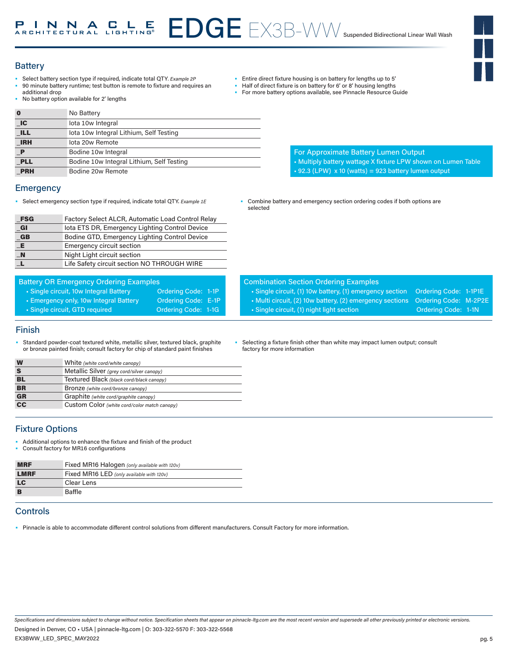# EDGE EX3B-WW Suspended Bidirectional Linear Wall Wash

## **Battery**

- Select battery section type if required, indicate total QTY*. Example 2P* • 90 minute battery runtime; test button is remote to fixture and requires an
- additional drop • No battery option available for 2' lengths
- 0 No Battery

| . U                         | <b>NO Battery</b>                         |
|-----------------------------|-------------------------------------------|
| $\overline{\phantom{a}}$ IC | lota 10w Integral                         |
| <b>ILL</b>                  | lota 10w Integral Lithium, Self Testing   |
| <b>IRH</b>                  | lota 20w Remote                           |
| $\mathbf P$                 | Bodine 10w Integral                       |
| <b>PLL</b>                  | Bodine 10w Integral Lithium, Self Testing |
| <b>PRH</b>                  | Bodine 20w Remote                         |

#### **Emergency**

• Select emergency section type if required, indicate total QTY. *Example 1E* • Combine battery and emergency section ordering codes if both options are

| <b>FSG</b>           | Factory Select ALCR, Automatic Load Control Relay |
|----------------------|---------------------------------------------------|
| $_{\blacksquare}$ GI | lota ETS DR, Emergency Lighting Control Device    |
| $_{-}$ GB            | Bodine GTD, Emergency Lighting Control Device     |
| $-E$                 | <b>Emergency circuit section</b>                  |
| $\blacksquare$ N     | Night Light circuit section                       |
| $\mathbf{L}$         | Life Safety circuit section NO THROUGH WIRE       |

| <b>Battery OR Emergency Ordering Examples</b> |                     |  |
|-----------------------------------------------|---------------------|--|
| • Single circuit, 10w Integral Battery        | Ordering Code: 1-1P |  |
| • Emergency only, 10w Integral Battery        | Ordering Code: E-1P |  |
| Single circuit, GTD required                  | Ordering Code: 1-1G |  |
|                                               |                     |  |

#### Finish

Standard powder-coat textured white, metallic silver, textured black, graphite or bronze painted finish; consult factory fo

|   | or bronze painted finish: consult factory for chip of standard paint finishes | factory for more information |
|---|-------------------------------------------------------------------------------|------------------------------|
| W | White (white cord/white canopy)                                               |                              |
|   | Metallic Silver (grey cord/silver canopy)                                     |                              |

selected

• Selecting a fixture finish other than white may impact lumen output; consult

Combination Section Ordering Examples

• Entire direct fixture housing is on battery for lengths up to 5' • Half of direct fixture is on battery for 6' or 8' housing lengths • For more battery options available, see Pinnacle Resource Guide

For Approximate Battery Lumen Output

 $\cdot$  92.3 (LPW) x 10 (watts) = 923 battery lumen output

• Single circuit, (1) 10w battery, (1) emergency section Ordering Code: 1-1P1E • Multi circuit, (2) 10w battery, (2) emergency sections Ordering Code: M-2P2E • Single circuit, (1) night light section **Ordering Code: 1-1N** 

• Multiply battery wattage X fixture LPW shown on Lumen Table

| <b>Fixture Options</b> |
|------------------------|
|                        |

• Additional options to enhance the fixture and finish of the product

BL Textured Black *(black cord/black canopy)* **BR** Bronze *(white cord/bronze canopy)* GR Graphite *(white cord/graphite canopy)* CC Custom Color *(white cord/color match canopy)*

• Consult factory for MR16 configurations

| <b>MRF</b>  | Fixed MR16 Halogen (only available with 120v) |
|-------------|-----------------------------------------------|
| <b>LMRF</b> | Fixed MR16 LED (only available with 120v)     |
| <b>LC</b>   | Clear Lens                                    |
| B           | <b>Baffle</b>                                 |

## **Controls**

• Pinnacle is able to accommodate different control solutions from different manufacturers. Consult Factory for more information.

*Specifications and dimensions subject to change without notice. Specification sheets that appear on pinnacle-ltg.com are the most recent version and supersede all other previously printed or electronic versions.* EX3BWW\_LED\_SPEC\_MAY2022 Designed in Denver, CO • USA | pinnacle-ltg.com | O: 303-322-5570 F: 303-322-5568